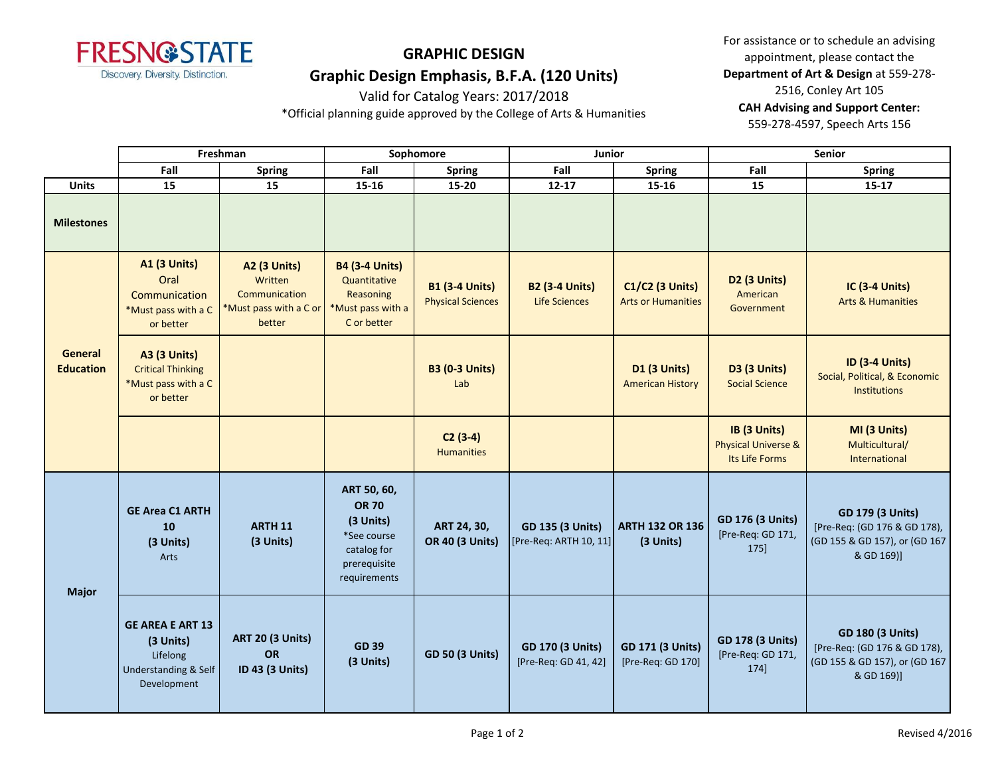

For assistance or to schedule an advising appointment, please contact the **Department of Art & Design** at 559-278- 2516, Conley Art 105 **CAH Advising and Support Center:**  559-278-4597, Speech Arts 156

Valid for Catalog Years: 2017/2018 \*Official planning guide approved by the College of Arts & Humanities

|                                    | Freshman                                                                                |                                                                                     | Sophomore                                                                                              |                                                   | Junior                                          |                                                     | <b>Senior</b>                                                    |                                                                                                        |
|------------------------------------|-----------------------------------------------------------------------------------------|-------------------------------------------------------------------------------------|--------------------------------------------------------------------------------------------------------|---------------------------------------------------|-------------------------------------------------|-----------------------------------------------------|------------------------------------------------------------------|--------------------------------------------------------------------------------------------------------|
|                                    | Fall                                                                                    | <b>Spring</b>                                                                       | Fall                                                                                                   | Spring                                            | Fall                                            | Spring                                              | Fall                                                             | <b>Spring</b>                                                                                          |
| <b>Units</b>                       | 15                                                                                      | 15                                                                                  | 15-16                                                                                                  | 15-20                                             | $12 - 17$                                       | 15-16                                               | 15                                                               | $15 - 17$                                                                                              |
| <b>Milestones</b>                  |                                                                                         |                                                                                     |                                                                                                        |                                                   |                                                 |                                                     |                                                                  |                                                                                                        |
| <b>General</b><br><b>Education</b> | <b>A1 (3 Units)</b><br>Oral<br>Communication<br>*Must pass with a C<br>or better        | <b>A2 (3 Units)</b><br>Written<br>Communication<br>*Must pass with a C or<br>better | <b>B4 (3-4 Units)</b><br>Quantitative<br>Reasoning<br>*Must pass with a<br>C or better                 | <b>B1 (3-4 Units)</b><br><b>Physical Sciences</b> | <b>B2 (3-4 Units)</b><br><b>Life Sciences</b>   | <b>C1/C2 (3 Units)</b><br><b>Arts or Humanities</b> | <b>D2 (3 Units)</b><br>American<br>Government                    | IC (3-4 Units)<br><b>Arts &amp; Humanities</b>                                                         |
|                                    | A3 (3 Units)<br><b>Critical Thinking</b><br>*Must pass with a C<br>or better            |                                                                                     |                                                                                                        | <b>B3 (0-3 Units)</b><br>Lab                      |                                                 | <b>D1 (3 Units)</b><br><b>American History</b>      | <b>D3 (3 Units)</b><br><b>Social Science</b>                     | <b>ID (3-4 Units)</b><br>Social, Political, & Economic<br><b>Institutions</b>                          |
|                                    |                                                                                         |                                                                                     |                                                                                                        | $C2(3-4)$<br><b>Humanities</b>                    |                                                 |                                                     | IB (3 Units)<br><b>Physical Universe &amp;</b><br>Its Life Forms | MI (3 Units)<br>Multicultural/<br>International                                                        |
| <b>Major</b>                       | <b>GE Area C1 ARTH</b><br>10<br>(3 Units)<br>Arts                                       | <b>ARTH 11</b><br>(3 Units)                                                         | ART 50, 60,<br><b>OR 70</b><br>(3 Units)<br>*See course<br>catalog for<br>prerequisite<br>requirements | ART 24, 30,<br><b>OR 40 (3 Units)</b>             | GD 135 (3 Units)<br>[Pre-Req: ARTH 10, 11]      | <b>ARTH 132 OR 136</b><br>(3 Units)                 | GD 176 (3 Units)<br>[Pre-Req: GD 171,<br>175]                    | <b>GD 179 (3 Units)</b><br>[Pre-Req: (GD 176 & GD 178),<br>(GD 155 & GD 157), or (GD 167<br>& GD 169)] |
|                                    | <b>GE AREA E ART 13</b><br>(3 Units)<br>Lifelong<br>Understanding & Self<br>Development | <b>ART 20 (3 Units)</b><br><b>OR</b><br>ID 43 (3 Units)                             | <b>GD 39</b><br>(3 Units)                                                                              | <b>GD 50 (3 Units)</b>                            | <b>GD 170 (3 Units)</b><br>[Pre-Req: GD 41, 42] | <b>GD 171 (3 Units)</b><br>[Pre-Req: GD 170]        | <b>GD 178 (3 Units)</b><br>[Pre-Req: GD 171,<br>174]             | <b>GD 180 (3 Units)</b><br>[Pre-Req: (GD 176 & GD 178),<br>(GD 155 & GD 157), or (GD 167<br>& GD 169)] |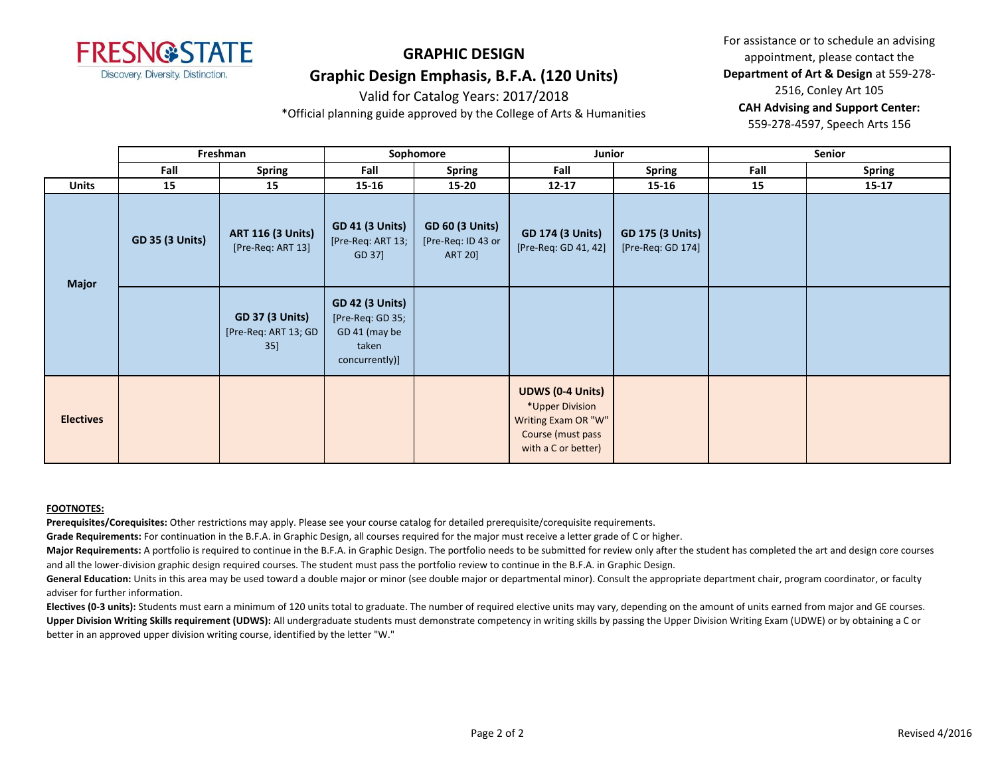

For assistance or to schedule an advising appointment, please contact the **Department of Art & Design** at 559-278- 2516, Conley Art 105 **CAH Advising and Support Center:**  559-278-4597, Speech Arts 156

Valid for Catalog Years: 2017/2018 \*Official planning guide approved by the College of Arts & Humanities

|                  | Freshman               |                                                       | Sophomore                                                                              |                                                                | Junior                                                                                                        |                                              | <b>Senior</b> |               |
|------------------|------------------------|-------------------------------------------------------|----------------------------------------------------------------------------------------|----------------------------------------------------------------|---------------------------------------------------------------------------------------------------------------|----------------------------------------------|---------------|---------------|
|                  | Fall                   | <b>Spring</b>                                         | Fall                                                                                   | <b>Spring</b>                                                  | Fall                                                                                                          | Spring                                       | Fall          | <b>Spring</b> |
| <b>Units</b>     | 15                     | 15                                                    | 15-16                                                                                  | 15-20                                                          | $12 - 17$                                                                                                     | 15-16                                        | 15            | $15 - 17$     |
| <b>Major</b>     | <b>GD 35 (3 Units)</b> | <b>ART 116 (3 Units)</b><br>[Pre-Req: ART 13]         | <b>GD 41 (3 Units)</b><br>[Pre-Req: ART 13;<br>GD 37]                                  | <b>GD 60 (3 Units)</b><br>[Pre-Req: ID 43 or<br><b>ART 20]</b> | <b>GD 174 (3 Units)</b><br>[Pre-Req: GD 41, 42]                                                               | <b>GD 175 (3 Units)</b><br>[Pre-Req: GD 174] |               |               |
|                  |                        | <b>GD 37 (3 Units)</b><br>[Pre-Req: ART 13; GD<br>35] | <b>GD 42 (3 Units)</b><br>[Pre-Req: GD 35;<br>GD 41 (may be<br>taken<br>concurrently)] |                                                                |                                                                                                               |                                              |               |               |
| <b>Electives</b> |                        |                                                       |                                                                                        |                                                                | <b>UDWS (0-4 Units)</b><br>*Upper Division<br>Writing Exam OR "W"<br>Course (must pass<br>with a C or better) |                                              |               |               |

#### **FOOTNOTES:**

**Prerequisites/Corequisites:** Other restrictions may apply. Please see your course catalog for detailed prerequisite/corequisite requirements.

**Grade Requirements:** For continuation in the B.F.A. in Graphic Design, all courses required for the major must receive a letter grade of C or higher.

Major Requirements: A portfolio is required to continue in the B.F.A. in Graphic Design. The portfolio needs to be submitted for review only after the student has completed the art and design core courses and all the lower-division graphic design required courses. The student must pass the portfolio review to continue in the B.F.A. in Graphic Design.

General Education: Units in this area may be used toward a double major or minor (see double major or departmental minor). Consult the appropriate department chair, program coordinator, or faculty adviser for further information.

**Electives (0-3 units):** Students must earn a minimum of 120 units total to graduate. The number of required elective units may vary, depending on the amount of units earned from major and GE courses. **Upper Division Writing Skills requirement (UDWS):** All undergraduate students must demonstrate competency in writing skills by passing the Upper Division Writing Exam (UDWE) or by obtaining a C or better in an approved upper division writing course, identified by the letter "W."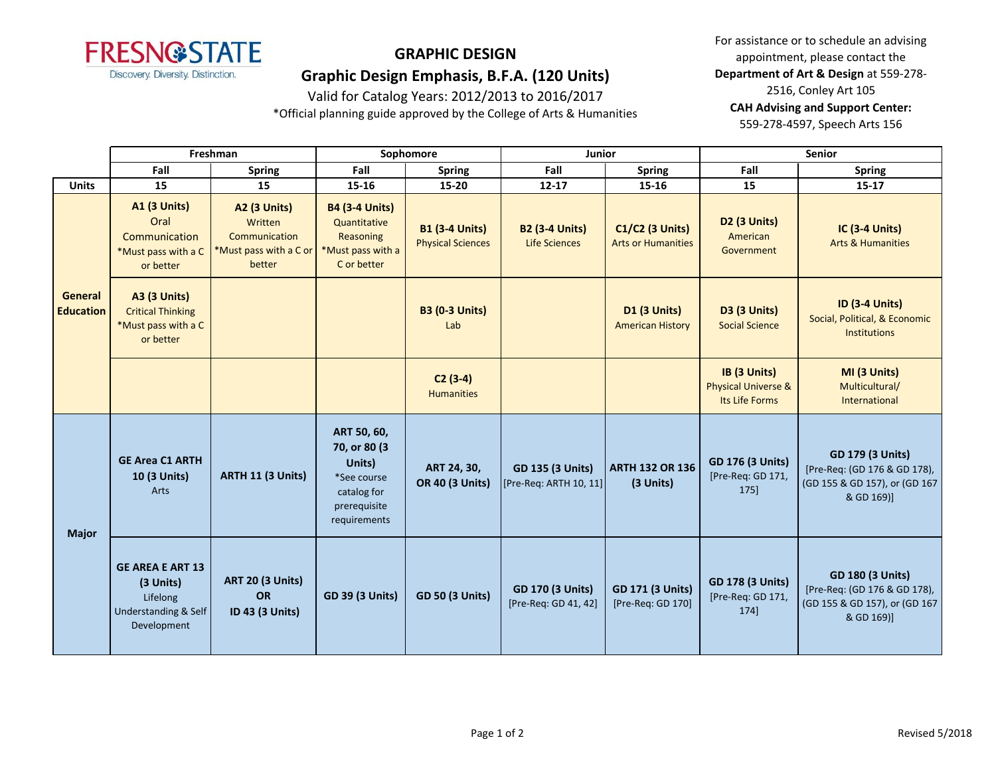

Valid for Catalog Years: 2012/2013 to 2016/2017

\*Official planning guide approved by the College of Arts & Humanities

For assistance or to schedule an advising appointment, please contact the **Department of Art & Design** at 559-278- 2516, Conley Art 105 **CAH Advising and Support Center:**  559-278-4597, Speech Arts 156

|                             |                                                                                         | Freshman                                                                           |                                                                                                      | Sophomore                                         | Junior                                            |                                                     |                                                                  | <b>Senior</b>                                                                                          |
|-----------------------------|-----------------------------------------------------------------------------------------|------------------------------------------------------------------------------------|------------------------------------------------------------------------------------------------------|---------------------------------------------------|---------------------------------------------------|-----------------------------------------------------|------------------------------------------------------------------|--------------------------------------------------------------------------------------------------------|
|                             | Fall                                                                                    | <b>Spring</b>                                                                      | Fall                                                                                                 | <b>Spring</b>                                     | Fall                                              | <b>Spring</b>                                       | Fall                                                             | <b>Spring</b>                                                                                          |
| <b>Units</b>                | 15                                                                                      | 15                                                                                 | 15-16                                                                                                | 15-20                                             | $12 - 17$                                         | 15-16                                               | 15                                                               | 15-17                                                                                                  |
| General<br><b>Education</b> | <b>A1 (3 Units)</b><br>Oral<br>Communication<br>*Must pass with a C<br>or better        | <b>A2 (3 Units)</b><br>Written<br>Communication<br>Must pass with a C or<br>better | <b>B4 (3-4 Units)</b><br>Quantitative<br>Reasoning<br>*Must pass with a<br>C or better               | <b>B1 (3-4 Units)</b><br><b>Physical Sciences</b> | <b>B2 (3-4 Units)</b><br>Life Sciences            | <b>C1/C2 (3 Units)</b><br><b>Arts or Humanities</b> | D <sub>2</sub> (3 Units)<br>American<br>Government               | IC (3-4 Units)<br><b>Arts &amp; Humanities</b>                                                         |
|                             | <b>A3 (3 Units)</b><br><b>Critical Thinking</b><br>*Must pass with a C<br>or better     |                                                                                    |                                                                                                      | <b>B3 (0-3 Units)</b><br>Lab                      |                                                   | <b>D1 (3 Units)</b><br><b>American History</b>      | <b>D3 (3 Units)</b><br><b>Social Science</b>                     | <b>ID (3-4 Units)</b><br>Social, Political, & Economic<br><b>Institutions</b>                          |
|                             |                                                                                         |                                                                                    |                                                                                                      | $C2(3-4)$<br><b>Humanities</b>                    |                                                   |                                                     | IB (3 Units)<br><b>Physical Universe &amp;</b><br>Its Life Forms | MI (3 Units)<br>Multicultural/<br>International                                                        |
| <b>Major</b>                | <b>GE Area C1 ARTH</b><br>10 (3 Units)<br>Arts                                          | <b>ARTH 11 (3 Units)</b>                                                           | ART 50, 60,<br>70, or 80 (3)<br>Units)<br>*See course<br>catalog for<br>prerequisite<br>requirements | ART 24, 30,<br><b>OR 40 (3 Units)</b>             | <b>GD 135 (3 Units)</b><br>[Pre-Req: ARTH 10, 11] | <b>ARTH 132 OR 136</b><br>(3 Units)                 | <b>GD 176 (3 Units)</b><br>[Pre-Req: GD 171,<br>175]             | <b>GD 179 (3 Units)</b><br>[Pre-Req: (GD 176 & GD 178),<br>(GD 155 & GD 157), or (GD 167<br>& GD 169)] |
|                             | <b>GE AREA E ART 13</b><br>(3 Units)<br>Lifelong<br>Understanding & Self<br>Development | <b>ART 20 (3 Units)</b><br><b>OR</b><br>ID 43 (3 Units)                            | <b>GD 39 (3 Units)</b>                                                                               | <b>GD 50 (3 Units)</b>                            | <b>GD 170 (3 Units)</b><br>[Pre-Req: GD 41, 42]   | <b>GD 171 (3 Units)</b><br>[Pre-Req: GD 170]        | <b>GD 178 (3 Units)</b><br>[Pre-Req: GD 171,<br>174]             | <b>GD 180 (3 Units)</b><br>[Pre-Req: (GD 176 & GD 178),<br>(GD 155 & GD 157), or (GD 167<br>& GD 169)] |